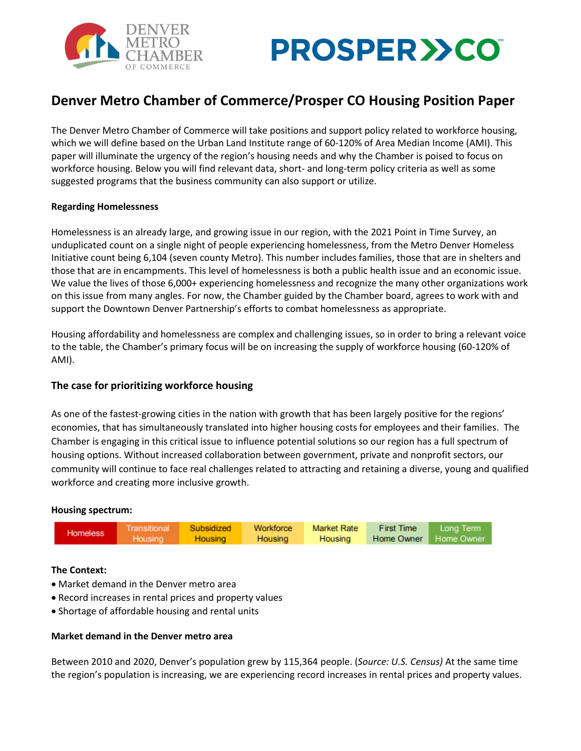



# **Denver Metro Chamber of Commerce/Prosper CO Housing Position Paper**

The Denver Metro Chamber of Commerce will take positions and support policy related to workforce housing, which we will define based on the Urban Land Institute range of 60-120% of Area Median Income (AMI). This paper will illuminate the urgency of the region's housing needs and why the Chamber is poised to focus on workforce housing. Below you will find relevant data, short- and long-term policy criteria as well as some suggested programs that the business community can also support or utilize.

### **Regarding Homelessness**

Homelessness is an already large, and growing issue in our region, with the 2021 Point in Time Survey, an unduplicated count on a single night of people experiencing homelessness, from the Metro Denver Homeless Initiative count being 6,104 (seven county Metro). This number includes families, those that are in shelters and those that are in encampments. This level of homelessness is both a public health issue and an economic issue. We value the lives of those 6,000+ experiencing homelessness and recognize the many other organizations work on this issue from many angles. For now, the Chamber guided by the Chamber board, agrees to work with and support the Downtown Denver Partnership's efforts to combat homelessness as appropriate.

Housing affordability and homelessness are complex and challenging issues, so in order to bring a relevant voice to the table, the Chamber's primary focus will be on increasing the supply of workforce housing (60-120% of AMI).

### **The case for prioritizing workforce housing**

As one of the fastest-growing cities in the nation with growth that has been largely positive for the regions' economies, that has simultaneously translated into higher housing costs for employees and their families. The Chamber is engaging in this critical issue to influence potential solutions so our region has a full spectrum of housing options. Without increased collaboration between government, private and nonprofit sectors, our community will continue to face real challenges related to attracting and retaining a diverse, young and qualified workforce and creating more inclusive growth.

### **Housing spectrum:**



### **The Context:**

- Market demand in the Denver metro area
- Record increases in rental prices and property values
- Shortage of affordable housing and rental units

### **Market demand in the Denver metro area**

Between 2010 and 2020, Denver's population grew by 115,364 people. (*Source: U.S. Census)* At the same time the region's population is increasing, we are experiencing record increases in rental prices and property values.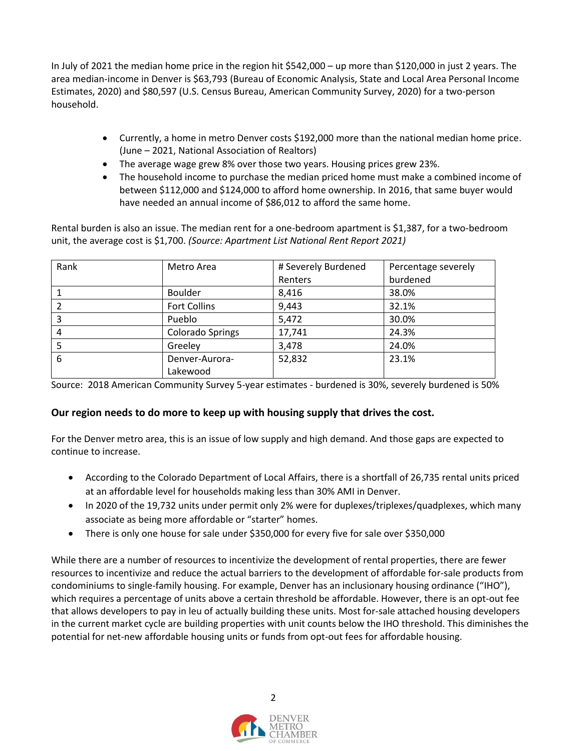In July of 2021 the median home price in the region hit \$542,000 – up more than \$120,000 in just 2 years. The area median-income in Denver is \$63,793 (Bureau of Economic Analysis, State and Local Area Personal Income Estimates, 2020) and \$80,597 (U.S. Census Bureau, American Community Survey, 2020) for a two-person household.

- Currently, a home in metro Denver costs \$192,000 more than the national median home price. (June – 2021, National Association of Realtors)
- The average wage grew 8% over those two years. Housing prices grew 23%.
- The household income to purchase the median priced home must make a combined income of between \$112,000 and \$124,000 to afford home ownership. In 2016, that same buyer would have needed an annual income of \$86,012 to afford the same home.

Rental burden is also an issue. The median rent for a one-bedroom apartment is \$1,387, for a two-bedroom unit, the average cost is \$1,700. *(Source: Apartment List National Rent Report 2021)*

| Rank | Metro Area              | # Severely Burdened | Percentage severely |
|------|-------------------------|---------------------|---------------------|
|      |                         | Renters             | burdened            |
|      | Boulder                 | 8,416               | 38.0%               |
|      | <b>Fort Collins</b>     | 9,443               | 32.1%               |
| 3    | Pueblo                  | 5,472               | 30.0%               |
| 4    | <b>Colorado Springs</b> | 17,741              | 24.3%               |
|      | Greeley                 | 3,478               | 24.0%               |
| 6    | Denver-Aurora-          | 52,832              | 23.1%               |
|      | Lakewood                |                     |                     |

Source: 2018 American Community Survey 5-year estimates - burdened is 30%, severely burdened is 50%

## **Our region needs to do more to keep up with housing supply that drives the cost.**

For the Denver metro area, this is an issue of low supply and high demand. And those gaps are expected to continue to increase.

- According to the Colorado Department of Local Affairs, there is a shortfall of 26,735 rental units priced at an affordable level for households making less than 30% AMI in Denver.
- In 2020 of the 19,732 units under permit only 2% were for duplexes/triplexes/quadplexes, which many associate as being more affordable or "starter" homes.
- There is only one house for sale under \$350,000 for every five for sale over \$350,000

While there are a number of resources to incentivize the development of rental properties, there are fewer resources to incentivize and reduce the actual barriers to the development of affordable for-sale products from condominiums to single-family housing. For example, Denver has an inclusionary housing ordinance ("IHO"), which requires a percentage of units above a certain threshold be affordable. However, there is an opt-out fee that allows developers to pay in leu of actually building these units. Most for-sale attached housing developers in the current market cycle are building properties with unit counts below the IHO threshold. This diminishes the potential for net-new affordable housing units or funds from opt-out fees for affordable housing.